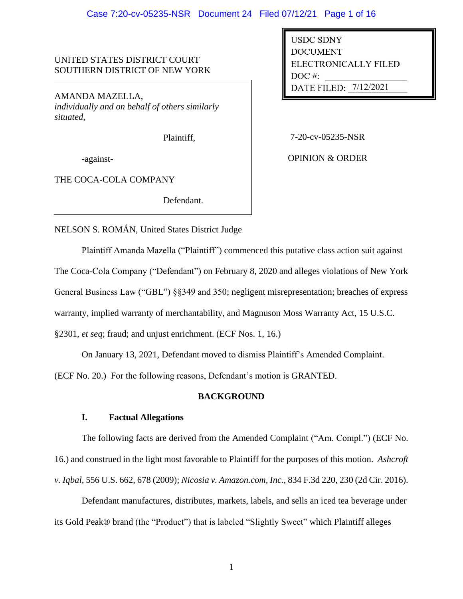# UNITED STATES DISTRICT COURT SOUTHERN DISTRICT OF NEW YORK

AMANDA MAZELLA, *individually and on behalf of others similarly situated*,

Plaintiff,

-against-

THE COCA-COLA COMPANY

Defendant.

DATE FILED: 7/12/2021 USDC SDNY DOCUMENT ELECTRONICALLY FILED DOC #: -------

7-20-cv-05235-NSR

OPINION & ORDER

NELSON S. ROMÁN, United States District Judge

Plaintiff Amanda Mazella ("Plaintiff") commenced this putative class action suit against

The Coca-Cola Company ("Defendant") on February 8, 2020 and alleges violations of New York

General Business Law ("GBL") §§349 and 350; negligent misrepresentation; breaches of express

warranty, implied warranty of merchantability, and Magnuson Moss Warranty Act, 15 U.S.C.

§2301, *et seq*; fraud; and unjust enrichment. (ECF Nos. 1, 16.)

On January 13, 2021, Defendant moved to dismiss Plaintiff's Amended Complaint.

(ECF No. 20.) For the following reasons, Defendant's motion is GRANTED.

# **BACKGROUND**

# **I. Factual Allegations**

The following facts are derived from the Amended Complaint ("Am. Compl.") (ECF No. 16.) and construed in the light most favorable to Plaintiff for the purposes of this motion. *Ashcroft v. Iqbal*, 556 U.S. 662, 678 (2009); *Nicosia v. Amazon.com, Inc.*, 834 F.3d 220, 230 (2d Cir. 2016).

Defendant manufactures, distributes, markets, labels, and sells an iced tea beverage under its Gold Peak® brand (the "Product") that is labeled "Slightly Sweet" which Plaintiff alleges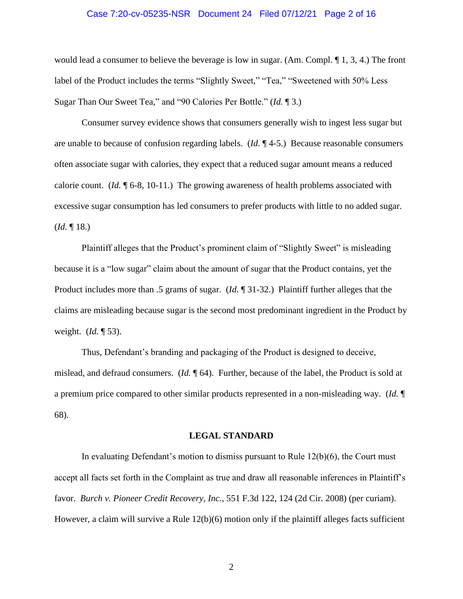#### Case 7:20-cv-05235-NSR Document 24 Filed 07/12/21 Page 2 of 16

would lead a consumer to believe the beverage is low in sugar. (Am. Compl. ¶ 1, 3, 4.) The front label of the Product includes the terms "Slightly Sweet," "Tea," "Sweetened with 50% Less Sugar Than Our Sweet Tea," and "90 Calories Per Bottle." (*Id.* ¶ 3.)

Consumer survey evidence shows that consumers generally wish to ingest less sugar but are unable to because of confusion regarding labels. (*Id.* ¶ 4-5.) Because reasonable consumers often associate sugar with calories, they expect that a reduced sugar amount means a reduced calorie count. (*Id.* ¶ 6-8, 10-11.) The growing awareness of health problems associated with excessive sugar consumption has led consumers to prefer products with little to no added sugar.  $$ 

Plaintiff alleges that the Product's prominent claim of "Slightly Sweet" is misleading because it is a "low sugar" claim about the amount of sugar that the Product contains, yet the Product includes more than .5 grams of sugar. (*Id.* ¶ 31-32.) Plaintiff further alleges that the claims are misleading because sugar is the second most predominant ingredient in the Product by weight. (*Id.* ¶ 53).

Thus, Defendant's branding and packaging of the Product is designed to deceive, mislead, and defraud consumers. (*Id.* ¶ 64). Further, because of the label, the Product is sold at a premium price compared to other similar products represented in a non-misleading way. (*Id.* ¶ 68).

#### **LEGAL STANDARD**

In evaluating Defendant's motion to dismiss pursuant to Rule 12(b)(6), the Court must accept all facts set forth in the Complaint as true and draw all reasonable inferences in Plaintiff's favor. *Burch v. Pioneer Credit Recovery, Inc.*, 551 F.3d 122, 124 (2d Cir. 2008) (per curiam). However, a claim will survive a Rule 12(b)(6) motion only if the plaintiff alleges facts sufficient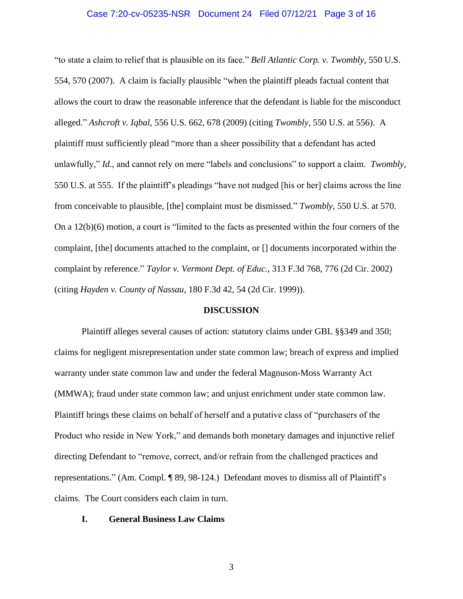#### Case 7:20-cv-05235-NSR Document 24 Filed 07/12/21 Page 3 of 16

"to state a claim to relief that is plausible on its face." *Bell Atlantic Corp. v. Twombly*, 550 U.S. 554, 570 (2007). A claim is facially plausible "when the plaintiff pleads factual content that allows the court to draw the reasonable inference that the defendant is liable for the misconduct alleged." *Ashcroft v. Iqbal*, 556 U.S. 662, 678 (2009) (citing *Twombly*, 550 U.S. at 556). A plaintiff must sufficiently plead "more than a sheer possibility that a defendant has acted unlawfully," *Id.*, and cannot rely on mere "labels and conclusions" to support a claim. *Twombly*, 550 U.S. at 555. If the plaintiff's pleadings "have not nudged [his or her] claims across the line from conceivable to plausible, [the] complaint must be dismissed." *Twombly*, 550 U.S. at 570. On a 12(b)(6) motion, a court is "limited to the facts as presented within the four corners of the complaint, [the] documents attached to the complaint, or [] documents incorporated within the complaint by reference." *Taylor v. Vermont Dept. of Educ.*, 313 F.3d 768, 776 (2d Cir. 2002) (citing *Hayden v. County of Nassau*, 180 F.3d 42, 54 (2d Cir. 1999)).

#### **DISCUSSION**

Plaintiff alleges several causes of action: statutory claims under GBL §§349 and 350; claims for negligent misrepresentation under state common law; breach of express and implied warranty under state common law and under the federal Magnuson-Moss Warranty Act (MMWA); fraud under state common law; and unjust enrichment under state common law. Plaintiff brings these claims on behalf of herself and a putative class of "purchasers of the Product who reside in New York," and demands both monetary damages and injunctive relief directing Defendant to "remove, correct, and/or refrain from the challenged practices and representations." (Am. Compl. ¶ 89, 98-124.) Defendant moves to dismiss all of Plaintiff's claims. The Court considers each claim in turn.

#### **I. General Business Law Claims**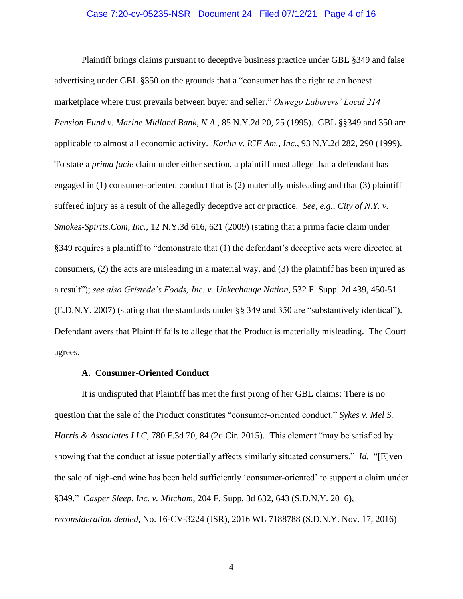#### Case 7:20-cv-05235-NSR Document 24 Filed 07/12/21 Page 4 of 16

Plaintiff brings claims pursuant to deceptive business practice under GBL §349 and false advertising under GBL §350 on the grounds that a "consumer has the right to an honest marketplace where trust prevails between buyer and seller." *Oswego Laborers' Local 214 Pension Fund v. Marine Midland Bank, N.A.*, 85 N.Y.2d 20, 25 (1995). GBL §§349 and 350 are applicable to almost all economic activity. *Karlin v. ICF Am., Inc.*, 93 N.Y.2d 282, 290 (1999). To state a *prima facie* claim under either section, a plaintiff must allege that a defendant has engaged in (1) consumer-oriented conduct that is (2) materially misleading and that (3) plaintiff suffered injury as a result of the allegedly deceptive act or practice. *See, e.g.*, *City of N.Y. v. Smokes-Spirits.Com, Inc.*, 12 N.Y.3d 616, 621 (2009) (stating that a prima facie claim under §349 requires a plaintiff to "demonstrate that (1) the defendant's deceptive acts were directed at consumers, (2) the acts are misleading in a material way, and (3) the plaintiff has been injured as a result"); *see also Gristede's Foods, Inc. v. Unkechauge Nation*, 532 F. Supp. 2d 439, 450-51 (E.D.N.Y. 2007) (stating that the standards under §§ 349 and 350 are "substantively identical"). Defendant avers that Plaintiff fails to allege that the Product is materially misleading. The Court agrees.

### **A. Consumer-Oriented Conduct**

It is undisputed that Plaintiff has met the first prong of her GBL claims: There is no question that the sale of the Product constitutes "consumer-oriented conduct." *Sykes v. Mel S. Harris & Associates LLC*, 780 F.3d 70, 84 (2d Cir. 2015). This element "may be satisfied by showing that the conduct at issue potentially affects similarly situated consumers." *Id.* "[E]ven the sale of high-end wine has been held sufficiently 'consumer-oriented' to support a claim under §349." *Casper Sleep, Inc. v. Mitcham*, 204 F. Supp. 3d 632, 643 (S.D.N.Y. 2016), *reconsideration denied*, No. 16-CV-3224 (JSR), 2016 WL 7188788 (S.D.N.Y. Nov. 17, 2016)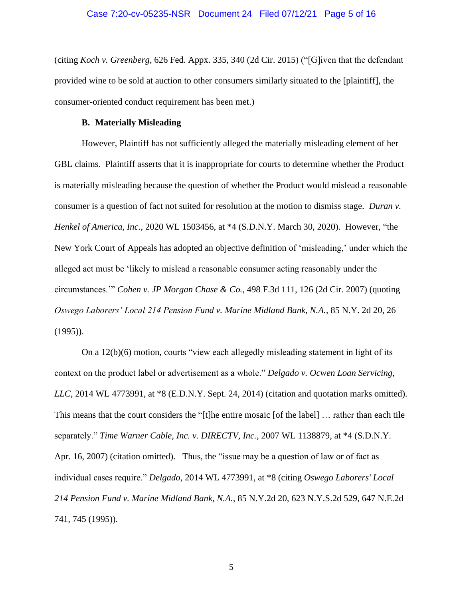(citing *Koch v. Greenberg*, 626 Fed. Appx. 335, 340 (2d Cir. 2015) ("[G]iven that the defendant provided wine to be sold at auction to other consumers similarly situated to the [plaintiff], the consumer-oriented conduct requirement has been met.)

### **B. Materially Misleading**

However, Plaintiff has not sufficiently alleged the materially misleading element of her GBL claims. Plaintiff asserts that it is inappropriate for courts to determine whether the Product is materially misleading because the question of whether the Product would mislead a reasonable consumer is a question of fact not suited for resolution at the motion to dismiss stage. *Duran v. Henkel of America, Inc.*, 2020 WL 1503456, at \*4 (S.D.N.Y. March 30, 2020). However, "the New York Court of Appeals has adopted an objective definition of 'misleading,' under which the alleged act must be 'likely to mislead a reasonable consumer acting reasonably under the circumstances.'" *Cohen v. JP Morgan Chase & Co.*, 498 F.3d 111, 126 (2d Cir. 2007) (quoting *Oswego Laborers' Local 214 Pension Fund v. Marine Midland Bank, N.A.*, 85 N.Y. 2d 20, 26 (1995)).

On a 12(b)(6) motion, courts "view each allegedly misleading statement in light of its context on the product label or advertisement as a whole." *Delgado v. Ocwen Loan Servicing, LLC*, 2014 WL 4773991, at \*8 (E.D.N.Y. Sept. 24, 2014) (citation and quotation marks omitted). This means that the court considers the "[t]he entire mosaic [of the label] … rather than each tile separately." *Time Warner Cable, Inc. v. DIRECTV, Inc.*, 2007 WL 1138879, at \*4 (S.D.N.Y. Apr. 16, 2007) (citation omitted). Thus, the "issue may be a question of law or of fact as individual cases require." *Delgado*, 2014 WL 4773991, at \*8 (citing *Oswego Laborers' Local 214 Pension Fund v. Marine Midland Bank, N.A.*, 85 N.Y.2d 20, 623 N.Y.S.2d 529, 647 N.E.2d 741, 745 (1995)).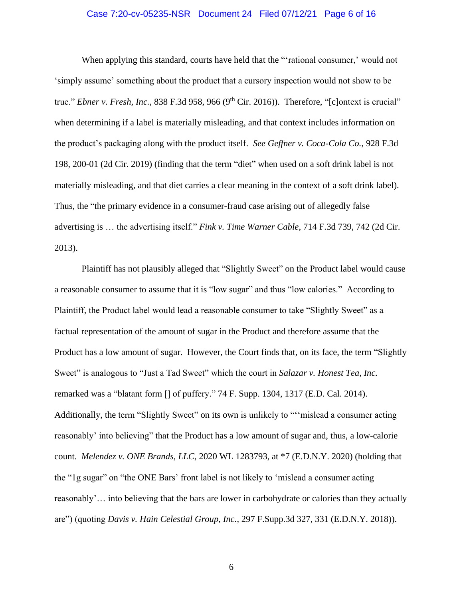### Case 7:20-cv-05235-NSR Document 24 Filed 07/12/21 Page 6 of 16

When applying this standard, courts have held that the "'rational consumer,' would not 'simply assume' something about the product that a cursory inspection would not show to be true." *Ebner v. Fresh, Inc.*, 838 F.3d 958, 966 (9<sup>th</sup> Cir. 2016)). Therefore, "[c]ontext is crucial" when determining if a label is materially misleading, and that context includes information on the product's packaging along with the product itself. *See Geffner v. Coca-Cola Co.*, 928 F.3d 198, 200-01 (2d Cir. 2019) (finding that the term "diet" when used on a soft drink label is not materially misleading, and that diet carries a clear meaning in the context of a soft drink label). Thus, the "the primary evidence in a consumer-fraud case arising out of allegedly false advertising is … the advertising itself." *Fink v. Time Warner Cable*, 714 F.3d 739, 742 (2d Cir. 2013).

Plaintiff has not plausibly alleged that "Slightly Sweet" on the Product label would cause a reasonable consumer to assume that it is "low sugar" and thus "low calories." According to Plaintiff, the Product label would lead a reasonable consumer to take "Slightly Sweet" as a factual representation of the amount of sugar in the Product and therefore assume that the Product has a low amount of sugar. However, the Court finds that, on its face, the term "Slightly Sweet" is analogous to "Just a Tad Sweet" which the court in *Salazar v. Honest Tea, Inc.* remarked was a "blatant form [] of puffery." 74 F. Supp. 1304, 1317 (E.D. Cal. 2014). Additionally, the term "Slightly Sweet" on its own is unlikely to "''mislead a consumer acting reasonably' into believing" that the Product has a low amount of sugar and, thus, a low-calorie count. *Melendez v. ONE Brands, LLC*, 2020 WL 1283793, at \*7 (E.D.N.Y. 2020) (holding that the "1g sugar" on "the ONE Bars' front label is not likely to 'mislead a consumer acting reasonably'… into believing that the bars are lower in carbohydrate or calories than they actually are") (quoting *Davis v. Hain Celestial Group, Inc.*, 297 F.Supp.3d 327, 331 (E.D.N.Y. 2018)).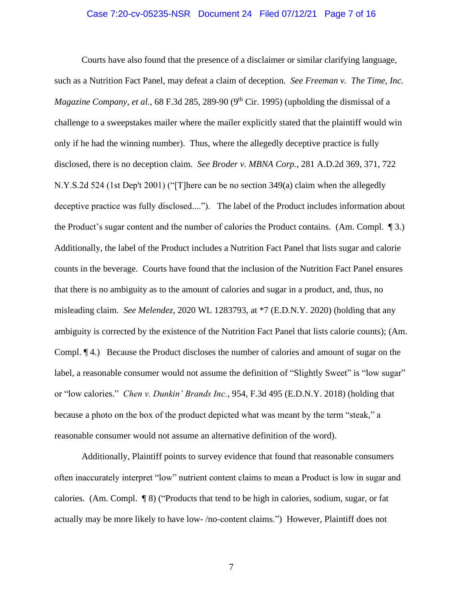### Case 7:20-cv-05235-NSR Document 24 Filed 07/12/21 Page 7 of 16

Courts have also found that the presence of a disclaimer or similar clarifying language, such as a Nutrition Fact Panel, may defeat a claim of deception. *See Freeman v. The Time, Inc. Magazine Company, et al., 68 F.3d 285, 289-90 (9<sup>th</sup> Cir. 1995) (upholding the dismissal of a* challenge to a sweepstakes mailer where the mailer explicitly stated that the plaintiff would win only if he had the winning number). Thus, where the allegedly deceptive practice is fully disclosed, there is no deception claim. *See Broder v. MBNA Corp.*, 281 A.D.2d 369, 371, 722 N.Y.S.2d 524 (1st Dep't 2001) ("[T]here can be no section 349(a) claim when the allegedly deceptive practice was fully disclosed...."). The label of the Product includes information about the Product's sugar content and the number of calories the Product contains. (Am. Compl. ¶ 3.) Additionally, the label of the Product includes a Nutrition Fact Panel that lists sugar and calorie counts in the beverage. Courts have found that the inclusion of the Nutrition Fact Panel ensures that there is no ambiguity as to the amount of calories and sugar in a product, and, thus, no misleading claim. *See Melendez*, 2020 WL 1283793, at \*7 (E.D.N.Y. 2020) (holding that any ambiguity is corrected by the existence of the Nutrition Fact Panel that lists calorie counts); (Am. Compl. ¶ 4.) Because the Product discloses the number of calories and amount of sugar on the label, a reasonable consumer would not assume the definition of "Slightly Sweet" is "low sugar" or "low calories." *Chen v. Dunkin' Brands Inc.*, 954, F.3d 495 (E.D.N.Y. 2018) (holding that because a photo on the box of the product depicted what was meant by the term "steak," a reasonable consumer would not assume an alternative definition of the word).

Additionally, Plaintiff points to survey evidence that found that reasonable consumers often inaccurately interpret "low" nutrient content claims to mean a Product is low in sugar and calories. (Am. Compl. ¶ 8) ("Products that tend to be high in calories, sodium, sugar, or fat actually may be more likely to have low- /no-content claims.") However, Plaintiff does not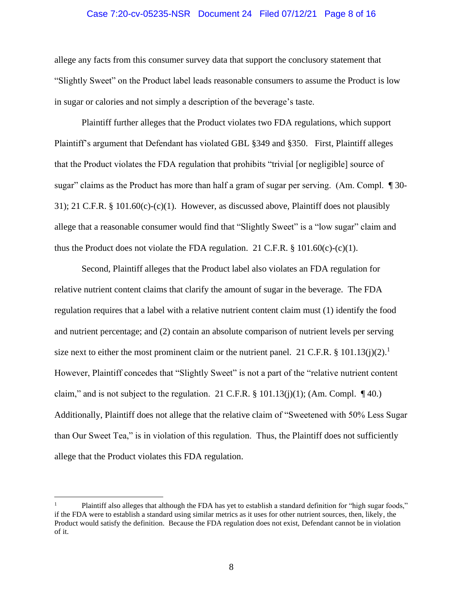### Case 7:20-cv-05235-NSR Document 24 Filed 07/12/21 Page 8 of 16

allege any facts from this consumer survey data that support the conclusory statement that "Slightly Sweet" on the Product label leads reasonable consumers to assume the Product is low in sugar or calories and not simply a description of the beverage's taste.

Plaintiff further alleges that the Product violates two FDA regulations, which support Plaintiff's argument that Defendant has violated GBL §349 and §350. First, Plaintiff alleges that the Product violates the FDA regulation that prohibits "trivial [or negligible] source of sugar" claims as the Product has more than half a gram of sugar per serving. (Am. Compl. ¶ 30- 31); 21 C.F.R. § 101.60(c)-(c)(1). However, as discussed above, Plaintiff does not plausibly allege that a reasonable consumer would find that "Slightly Sweet" is a "low sugar" claim and thus the Product does not violate the FDA regulation. 21 C.F.R. § 101.60(c)-(c)(1).

Second, Plaintiff alleges that the Product label also violates an FDA regulation for relative nutrient content claims that clarify the amount of sugar in the beverage. The FDA regulation requires that a label with a relative nutrient content claim must (1) identify the food and nutrient percentage; and (2) contain an absolute comparison of nutrient levels per serving size next to either the most prominent claim or the nutrient panel. 21 C.F.R. § 101.13(j)(2).<sup>1</sup> However, Plaintiff concedes that "Slightly Sweet" is not a part of the "relative nutrient content claim," and is not subject to the regulation. 21 C.F.R.  $\S$  101.13(j)(1); (Am. Compl.  $\P$ 40.) Additionally, Plaintiff does not allege that the relative claim of "Sweetened with 50% Less Sugar than Our Sweet Tea," is in violation of this regulation. Thus, the Plaintiff does not sufficiently allege that the Product violates this FDA regulation.

<sup>1</sup> Plaintiff also alleges that although the FDA has yet to establish a standard definition for "high sugar foods," if the FDA were to establish a standard using similar metrics as it uses for other nutrient sources, then, likely, the Product would satisfy the definition. Because the FDA regulation does not exist, Defendant cannot be in violation of it.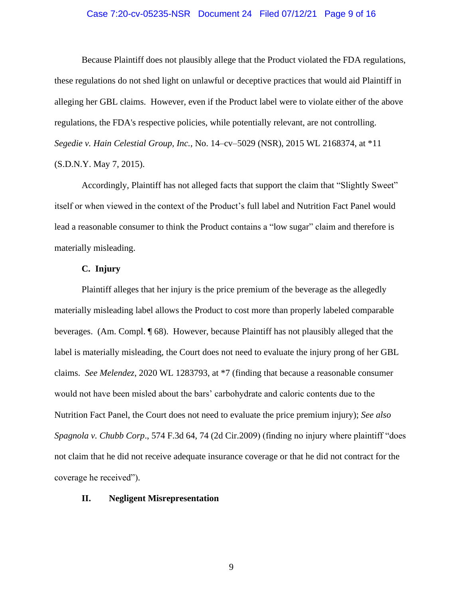### Case 7:20-cv-05235-NSR Document 24 Filed 07/12/21 Page 9 of 16

Because Plaintiff does not plausibly allege that the Product violated the FDA regulations, these regulations do not shed light on unlawful or deceptive practices that would aid Plaintiff in alleging her GBL claims. However, even if the Product label were to violate either of the above regulations, the FDA's respective policies, while potentially relevant, are not controlling. *Segedie v. Hain Celestial Group, Inc.*, No. 14–cv–5029 (NSR), 2015 WL 2168374, at \*11 (S.D.N.Y. May 7, 2015).

Accordingly, Plaintiff has not alleged facts that support the claim that "Slightly Sweet" itself or when viewed in the context of the Product's full label and Nutrition Fact Panel would lead a reasonable consumer to think the Product contains a "low sugar" claim and therefore is materially misleading.

# **C. Injury**

Plaintiff alleges that her injury is the price premium of the beverage as the allegedly materially misleading label allows the Product to cost more than properly labeled comparable beverages. (Am. Compl. ¶ 68). However, because Plaintiff has not plausibly alleged that the label is materially misleading, the Court does not need to evaluate the injury prong of her GBL claims. *See Melendez*, 2020 WL 1283793, at \*7 (finding that because a reasonable consumer would not have been misled about the bars' carbohydrate and caloric contents due to the Nutrition Fact Panel, the Court does not need to evaluate the price premium injury); *See also Spagnola v. Chubb Corp*., 574 F.3d 64, 74 (2d Cir.2009) (finding no injury where plaintiff "does not claim that he did not receive adequate insurance coverage or that he did not contract for the coverage he received").

#### **II. Negligent Misrepresentation**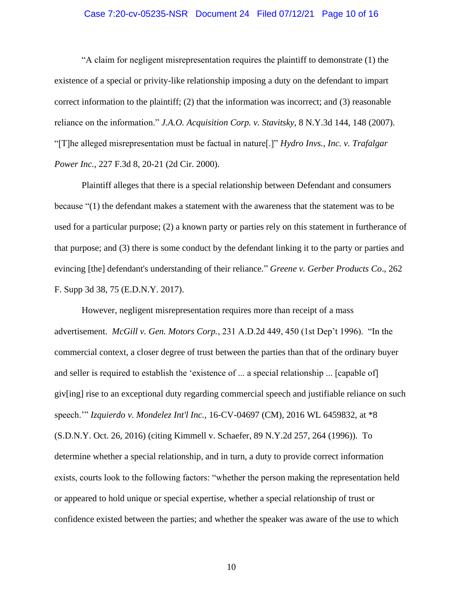### Case 7:20-cv-05235-NSR Document 24 Filed 07/12/21 Page 10 of 16

"A claim for negligent misrepresentation requires the plaintiff to demonstrate (1) the existence of a special or privity-like relationship imposing a duty on the defendant to impart correct information to the plaintiff;  $(2)$  that the information was incorrect; and  $(3)$  reasonable reliance on the information." *J.A.O. Acquisition Corp. v. Stavitsky*, 8 N.Y.3d 144, 148 (2007). "[T]he alleged misrepresentation must be factual in nature[.]" *Hydro Invs., Inc. v. Trafalgar Power Inc.*, 227 F.3d 8, 20-21 (2d Cir. 2000).

Plaintiff alleges that there is a special relationship between Defendant and consumers because "(1) the defendant makes a statement with the awareness that the statement was to be used for a particular purpose; (2) a known party or parties rely on this statement in furtherance of that purpose; and (3) there is some conduct by the defendant linking it to the party or parties and evincing [the] defendant's understanding of their reliance." *Greene v. Gerber Products Co*., 262 F. Supp 3d 38, 75 (E.D.N.Y. 2017).

However, negligent misrepresentation requires more than receipt of a mass advertisement. *McGill v. Gen. Motors Corp.*, 231 A.D.2d 449, 450 (1st Dep't 1996). "In the commercial context, a closer degree of trust between the parties than that of the ordinary buyer and seller is required to establish the 'existence of ... a special relationship ... [capable of] giv[ing] rise to an exceptional duty regarding commercial speech and justifiable reliance on such speech.'" *Izquierdo v. Mondelez Int'l Inc.*, 16-CV-04697 (CM), 2016 WL 6459832, at \*8 (S.D.N.Y. Oct. 26, 2016) (citing Kimmell v. Schaefer, 89 N.Y.2d 257, 264 (1996)). To determine whether a special relationship, and in turn, a duty to provide correct information exists, courts look to the following factors: "whether the person making the representation held or appeared to hold unique or special expertise, whether a special relationship of trust or confidence existed between the parties; and whether the speaker was aware of the use to which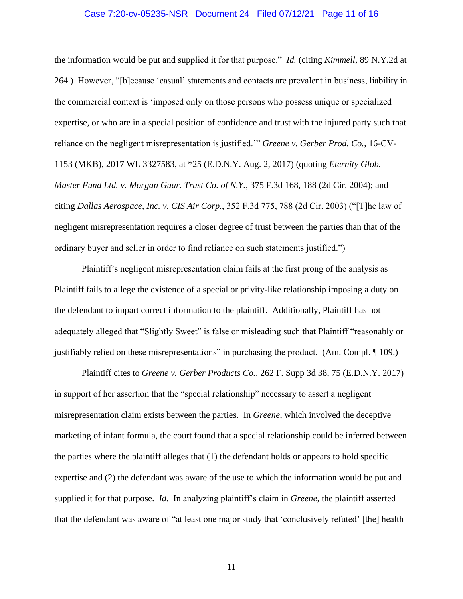#### Case 7:20-cv-05235-NSR Document 24 Filed 07/12/21 Page 11 of 16

the information would be put and supplied it for that purpose." *Id.* (citing *Kimmell*, 89 N.Y.2d at 264.) However, "[b]ecause 'casual' statements and contacts are prevalent in business, liability in the commercial context is 'imposed only on those persons who possess unique or specialized expertise, or who are in a special position of confidence and trust with the injured party such that reliance on the negligent misrepresentation is justified.'" *Greene v. Gerber Prod. Co.*, 16-CV-1153 (MKB), 2017 WL 3327583, at \*25 (E.D.N.Y. Aug. 2, 2017) (quoting *Eternity Glob. Master Fund Ltd. v. Morgan Guar. Trust Co. of N.Y.*, 375 F.3d 168, 188 (2d Cir. 2004); and citing *Dallas Aerospace, Inc. v. CIS Air Corp.*, 352 F.3d 775, 788 (2d Cir. 2003) ("[T]he law of negligent misrepresentation requires a closer degree of trust between the parties than that of the ordinary buyer and seller in order to find reliance on such statements justified.")

Plaintiff's negligent misrepresentation claim fails at the first prong of the analysis as Plaintiff fails to allege the existence of a special or privity-like relationship imposing a duty on the defendant to impart correct information to the plaintiff. Additionally, Plaintiff has not adequately alleged that "Slightly Sweet" is false or misleading such that Plaintiff "reasonably or justifiably relied on these misrepresentations" in purchasing the product. (Am. Compl. ¶ 109.)

Plaintiff cites to *Greene v. Gerber Products Co.*, 262 F. Supp 3d 38, 75 (E.D.N.Y. 2017) in support of her assertion that the "special relationship" necessary to assert a negligent misrepresentation claim exists between the parties. In *Greene*, which involved the deceptive marketing of infant formula, the court found that a special relationship could be inferred between the parties where the plaintiff alleges that (1) the defendant holds or appears to hold specific expertise and (2) the defendant was aware of the use to which the information would be put and supplied it for that purpose. *Id.* In analyzing plaintiff's claim in *Greene*, the plaintiff asserted that the defendant was aware of "at least one major study that 'conclusively refuted' [the] health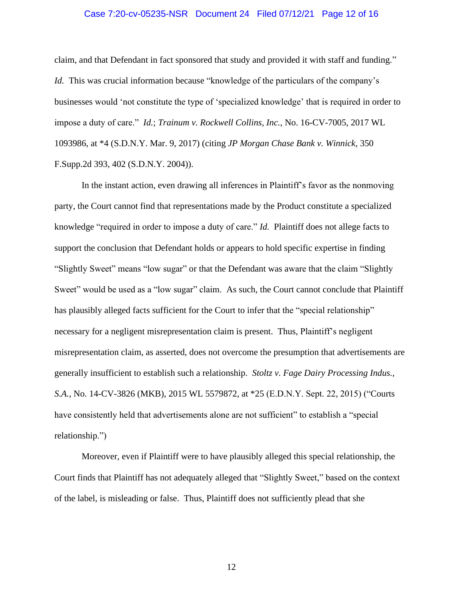### Case 7:20-cv-05235-NSR Document 24 Filed 07/12/21 Page 12 of 16

claim, and that Defendant in fact sponsored that study and provided it with staff and funding." *Id.* This was crucial information because "knowledge of the particulars of the company's businesses would 'not constitute the type of 'specialized knowledge' that is required in order to impose a duty of care." *Id.*; *Trainum v. Rockwell Collins, Inc.*, No. 16-CV-7005, 2017 WL 1093986, at \*4 (S.D.N.Y. Mar. 9, 2017) (citing *JP Morgan Chase Bank v. Winnick*, 350 F.Supp.2d 393, 402 (S.D.N.Y. 2004)).

In the instant action, even drawing all inferences in Plaintiff's favor as the nonmoving party, the Court cannot find that representations made by the Product constitute a specialized knowledge "required in order to impose a duty of care." *Id.* Plaintiff does not allege facts to support the conclusion that Defendant holds or appears to hold specific expertise in finding "Slightly Sweet" means "low sugar" or that the Defendant was aware that the claim "Slightly Sweet" would be used as a "low sugar" claim. As such, the Court cannot conclude that Plaintiff has plausibly alleged facts sufficient for the Court to infer that the "special relationship" necessary for a negligent misrepresentation claim is present. Thus, Plaintiff's negligent misrepresentation claim, as asserted, does not overcome the presumption that advertisements are generally insufficient to establish such a relationship. *Stoltz v. Fage Dairy Processing Indus., S.A.*, No. 14-CV-3826 (MKB), 2015 WL 5579872, at \*25 (E.D.N.Y. Sept. 22, 2015) ("Courts have consistently held that advertisements alone are not sufficient" to establish a "special" relationship.")

Moreover, even if Plaintiff were to have plausibly alleged this special relationship, the Court finds that Plaintiff has not adequately alleged that "Slightly Sweet," based on the context of the label, is misleading or false. Thus, Plaintiff does not sufficiently plead that she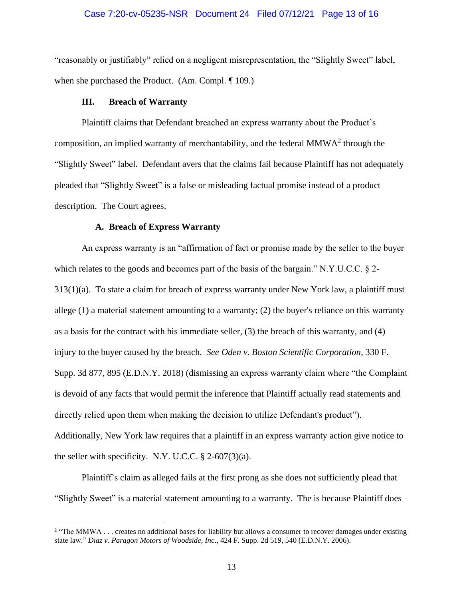### Case 7:20-cv-05235-NSR Document 24 Filed 07/12/21 Page 13 of 16

"reasonably or justifiably" relied on a negligent misrepresentation, the "Slightly Sweet" label, when she purchased the Product. (Am. Compl. ¶ 109.)

# **III. Breach of Warranty**

Plaintiff claims that Defendant breached an express warranty about the Product's composition, an implied warranty of merchantability, and the federal MMW $A<sup>2</sup>$  through the "Slightly Sweet" label. Defendant avers that the claims fail because Plaintiff has not adequately pleaded that "Slightly Sweet" is a false or misleading factual promise instead of a product description. The Court agrees.

#### **A. Breach of Express Warranty**

An express warranty is an "affirmation of fact or promise made by the seller to the buyer which relates to the goods and becomes part of the basis of the bargain." N.Y.U.C.C. § 2- $313(1)(a)$ . To state a claim for breach of express warranty under New York law, a plaintiff must allege (1) a material statement amounting to a warranty; (2) the buyer's reliance on this warranty as a basis for the contract with his immediate seller, (3) the breach of this warranty, and (4) injury to the buyer caused by the breach. *See Oden v. Boston Scientific Corporation*, 330 F. Supp. 3d 877, 895 (E.D.N.Y. 2018) (dismissing an express warranty claim where "the Complaint is devoid of any facts that would permit the inference that Plaintiff actually read statements and directly relied upon them when making the decision to utilize Defendant's product"). Additionally, New York law requires that a plaintiff in an express warranty action give notice to the seller with specificity. N.Y. U.C.C.  $\S$  2-607(3)(a).

Plaintiff's claim as alleged fails at the first prong as she does not sufficiently plead that "Slightly Sweet" is a material statement amounting to a warranty. The is because Plaintiff does

<sup>&</sup>lt;sup>2</sup> "The MMWA . . . creates no additional bases for liability but allows a consumer to recover damages under existing state law." *Diaz v. Paragon Motors of Woodside, Inc*., 424 F. Supp. 2d 519, 540 (E.D.N.Y. 2006).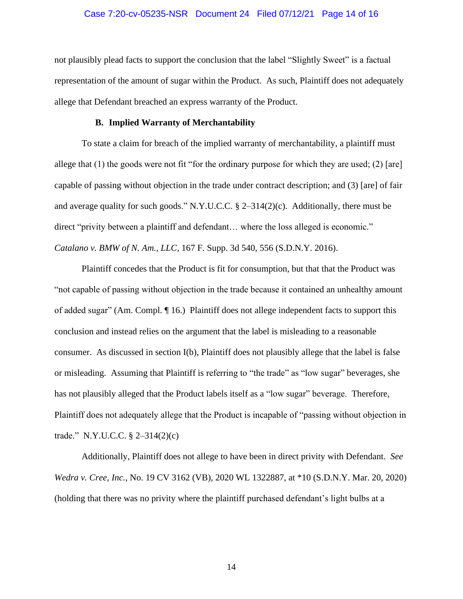#### Case 7:20-cv-05235-NSR Document 24 Filed 07/12/21 Page 14 of 16

not plausibly plead facts to support the conclusion that the label "Slightly Sweet" is a factual representation of the amount of sugar within the Product. As such, Plaintiff does not adequately allege that Defendant breached an express warranty of the Product.

#### **B. Implied Warranty of Merchantability**

To state a claim for breach of the implied warranty of merchantability, a plaintiff must allege that (1) the goods were not fit "for the ordinary purpose for which they are used; (2) [are] capable of passing without objection in the trade under contract description; and (3) [are] of fair and average quality for such goods." N.Y.U.C.C. § 2–314(2)(c). Additionally, there must be direct "privity between a plaintiff and defendant… where the loss alleged is economic." *Catalano v. BMW of N. Am., LLC*, 167 F. Supp. 3d 540, 556 (S.D.N.Y. 2016).

Plaintiff concedes that the Product is fit for consumption, but that that the Product was "not capable of passing without objection in the trade because it contained an unhealthy amount of added sugar" (Am. Compl. ¶ 16.) Plaintiff does not allege independent facts to support this conclusion and instead relies on the argument that the label is misleading to a reasonable consumer. As discussed in section I(b), Plaintiff does not plausibly allege that the label is false or misleading. Assuming that Plaintiff is referring to "the trade" as "low sugar" beverages, she has not plausibly alleged that the Product labels itself as a "low sugar" beverage. Therefore, Plaintiff does not adequately allege that the Product is incapable of "passing without objection in trade." N.Y.U.C.C. § 2–314(2)(c)

Additionally, Plaintiff does not allege to have been in direct privity with Defendant. *See Wedra v. Cree, Inc.*, No. 19 CV 3162 (VB), 2020 WL 1322887, at \*10 (S.D.N.Y. Mar. 20, 2020) (holding that there was no privity where the plaintiff purchased defendant's light bulbs at a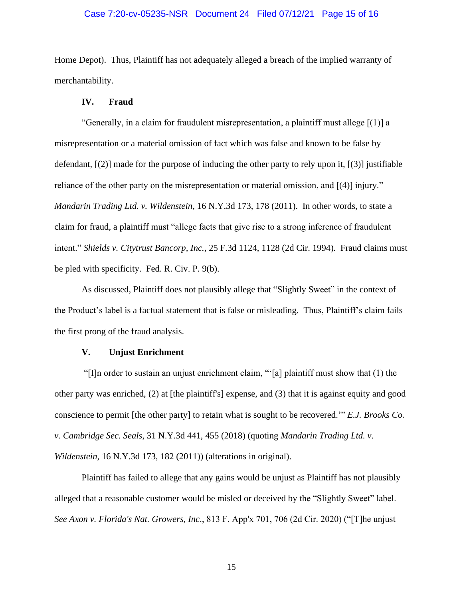### Case 7:20-cv-05235-NSR Document 24 Filed 07/12/21 Page 15 of 16

Home Depot). Thus, Plaintiff has not adequately alleged a breach of the implied warranty of merchantability.

## **IV. Fraud**

"Generally, in a claim for fraudulent misrepresentation, a plaintiff must allege [(1)] a misrepresentation or a material omission of fact which was false and known to be false by defendant,  $[2]$  made for the purpose of inducing the other party to rely upon it,  $[3]$  justifiable reliance of the other party on the misrepresentation or material omission, and [(4)] injury." *Mandarin Trading Ltd. v. Wildenstein*, 16 N.Y.3d 173, 178 (2011). In other words, to state a claim for fraud, a plaintiff must "allege facts that give rise to a strong inference of fraudulent intent." *Shields v. Citytrust Bancorp, Inc.*, 25 F.3d 1124, 1128 (2d Cir. 1994). Fraud claims must be pled with specificity. Fed. R. Civ. P. 9(b).

As discussed, Plaintiff does not plausibly allege that "Slightly Sweet" in the context of the Product's label is a factual statement that is false or misleading. Thus, Plaintiff's claim fails the first prong of the fraud analysis.

### **V. Unjust Enrichment**

"[I]n order to sustain an unjust enrichment claim, "'[a] plaintiff must show that (1) the other party was enriched, (2) at [the plaintiff's] expense, and (3) that it is against equity and good conscience to permit [the other party] to retain what is sought to be recovered.'" *E.J. Brooks Co. v. Cambridge Sec. Seals*, 31 N.Y.3d 441, 455 (2018) (quoting *Mandarin Trading Ltd. v. Wildenstein*, 16 N.Y.3d 173, 182 (2011)) (alterations in original).

Plaintiff has failed to allege that any gains would be unjust as Plaintiff has not plausibly alleged that a reasonable customer would be misled or deceived by the "Slightly Sweet" label. *See Axon v. Florida's Nat. Growers, Inc*., 813 F. App'x 701, 706 (2d Cir. 2020) ("[T]he unjust